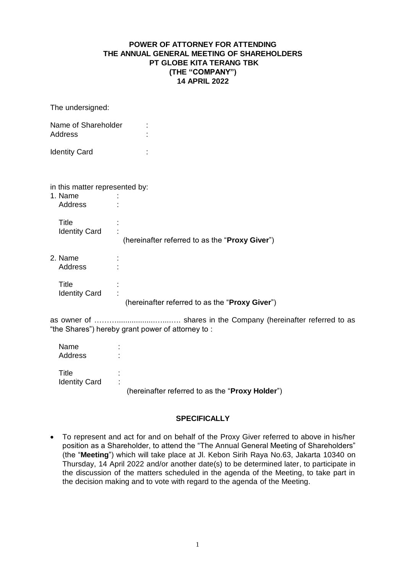## **POWER OF ATTORNEY FOR ATTENDING THE ANNUAL GENERAL MEETING OF SHAREHOLDERS PT GLOBE KITA TERANG TBK (THE "COMPANY") 14 APRIL 2022**

The undersigned:

| Name of Shareholder<br>Address | ٠ |  |
|--------------------------------|---|--|
| <b>Identity Card</b>           |   |  |
| in this matter represented by: |   |  |

1. Name : Address : Title : Identity Card (hereinafter referred to as the "**Proxy Giver**")

2. Name : Address :

> Title : Identity Card : (hereinafter referred to as the "**Proxy Giver**")

as owner of ………..................…....…. shares in the Company (hereinafter referred to as "the Shares") hereby grant power of attorney to :

| Name<br>Address               | ۰<br>٠                                                              |
|-------------------------------|---------------------------------------------------------------------|
| Title<br><b>Identity Card</b> | ٠.<br>٠<br>(hereinafter referred to as the " <b>Proxy Holder</b> ") |

## **SPECIFICALLY**

 To represent and act for and on behalf of the Proxy Giver referred to above in his/her position as a Shareholder, to attend the "The Annual General Meeting of Shareholders" (the "**Meeting**") which will take place at Jl. Kebon Sirih Raya No.63, Jakarta 10340 on Thursday, 14 April 2022 and/or another date(s) to be determined later, to participate in the discussion of the matters scheduled in the agenda of the Meeting, to take part in the decision making and to vote with regard to the agenda of the Meeting.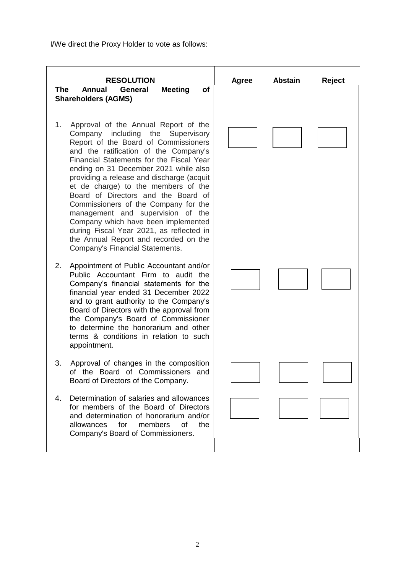

and to grant authority to the Company's Board of Directors with the approval from the Company's Board of Commissioner to determine the honorarium and other terms & conditions in relation to such appointment.

- 3. Approval of changes in the composition of the Board of Commissioners and Board of Directors of the Company.
- 4. Determination of salaries and allowances for members of the Board of Directors and determination of honorarium and/or allowances for members of the Company's Board of Commissioners.